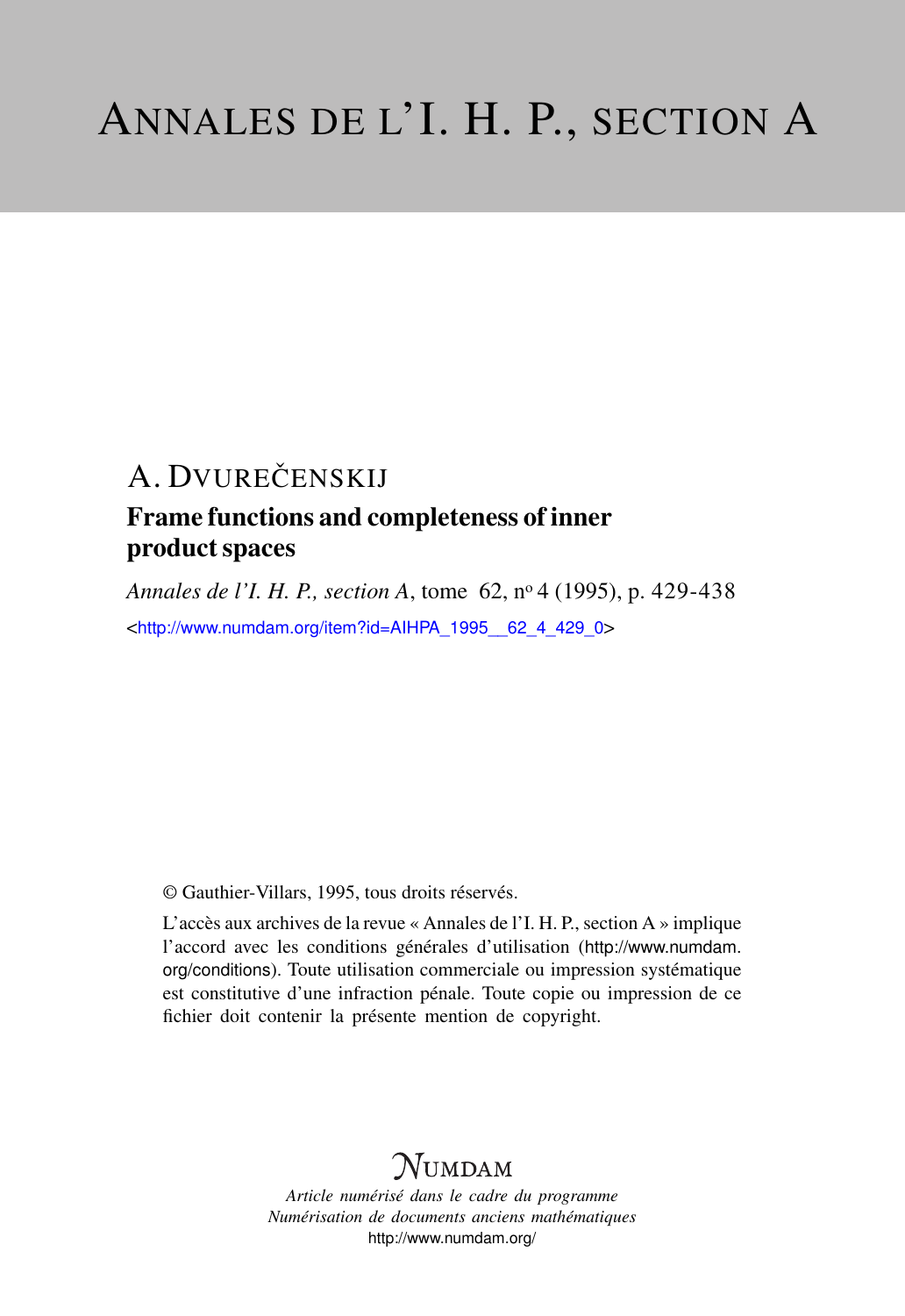# A. DVUREČENSKIJ

## Frame functions and completeness of inner product spaces

*Annales de l'I. H. P., section A*, tome 62, n<sup>o</sup> 4 (1995), p. 429-438 <[http://www.numdam.org/item?id=AIHPA\\_1995\\_\\_62\\_4\\_429\\_0](http://www.numdam.org/item?id=AIHPA_1995__62_4_429_0)>

© Gauthier-Villars, 1995, tous droits réservés.

L'accès aux archives de la revue « Annales de l'I. H. P., section A » implique l'accord avec les conditions générales d'utilisation ([http://www.numdam.](http://www.numdam.org/conditions) [org/conditions](http://www.numdam.org/conditions)). Toute utilisation commerciale ou impression systématique est constitutive d'une infraction pénale. Toute copie ou impression de ce fichier doit contenir la présente mention de copyright.

# **NUMDAM**

*Article numérisé dans le cadre du programme Numérisation de documents anciens mathématiques* <http://www.numdam.org/>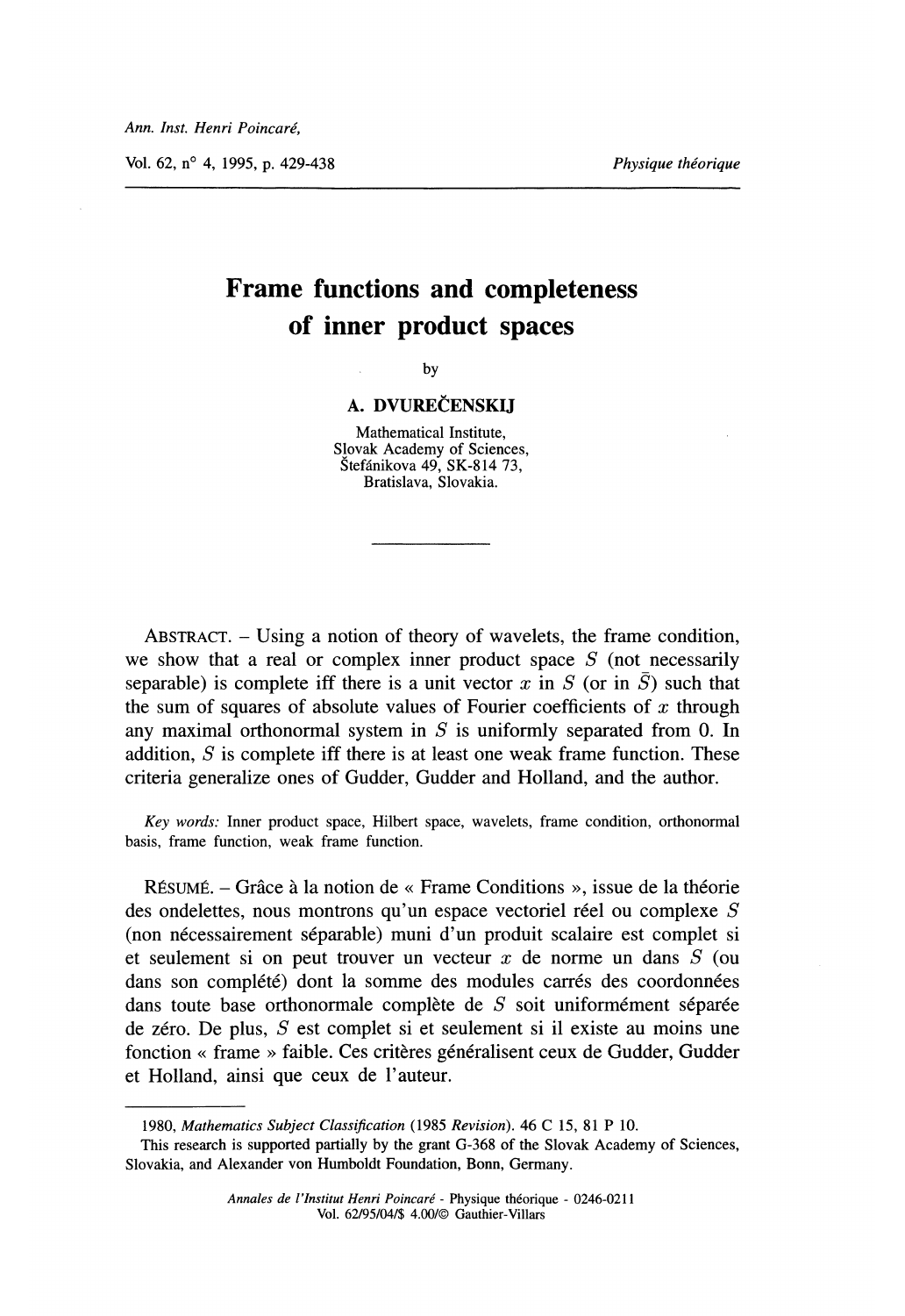Vol. 62,  $n^{\circ}$  4, 1995, p. 429-438

# Frame functions and completeness of inner product spaces

by

## A. DVUREČENSKIJ

Mathematical Institute, Slovak Academy of Sciences, Stefánikova 49, SK-814 73, Bratislava, Slovakia.

ABSTRACT. - Using a notion of theory of wavelets, the frame condition, we show that a real or complex inner product space  $S$  (not necessarily separable) is complete iff there is a unit vector x in S (or in  $\overline{S}$ ) such that the sum of squares of absolute values of Fourier coefficients of  $x$  through any maximal orthonormal system in  $S$  is uniformly separated from 0. In addition,  $S$  is complete iff there is at least one weak frame function. These criteria generalize ones of Gudder, Gudder and Holland, and the author.

Key words: Inner product space, Hilbert space, wavelets, frame condition, orthonormal basis, frame function, weak frame function.

RÉSUMÉ. – Grâce à la notion de « Frame Conditions », issue de la théorie des ondelettes, nous montrons qu'un espace vectoriel réel ou complexe  $S$ (non necessairement separable) muni d'un produit scalaire est complet si et seulement si on peut trouver un vecteur  $x$  de norme un dans  $S$  (ou dans son complété) dont la somme des modules carrés des coordonnées dans toute base orthonormale complète de  $S$  soit uniformément séparée de zéro. De plus,  $S$  est complet si et seulement si il existe au moins une fonction « frame » faible. Ces critères généralisent ceux de Gudder, Gudder et Holland, ainsi que ceux de l'auteur.

<sup>1980,</sup> Mathematics Subject Classification ( 1985 Revision). 46 C 15, 81 P 10.

This research is supported partially by the grant G-368 of the Slovak Academy of Sciences, Slovakia, and Alexander von Humboldt Foundation, Bonn, Germany.

Annales de l'Institut Henri Poincaré - Physique theorique - 0246-0211 Vol. 62/95/04/\$ 4.00/@ Gauthier-Villars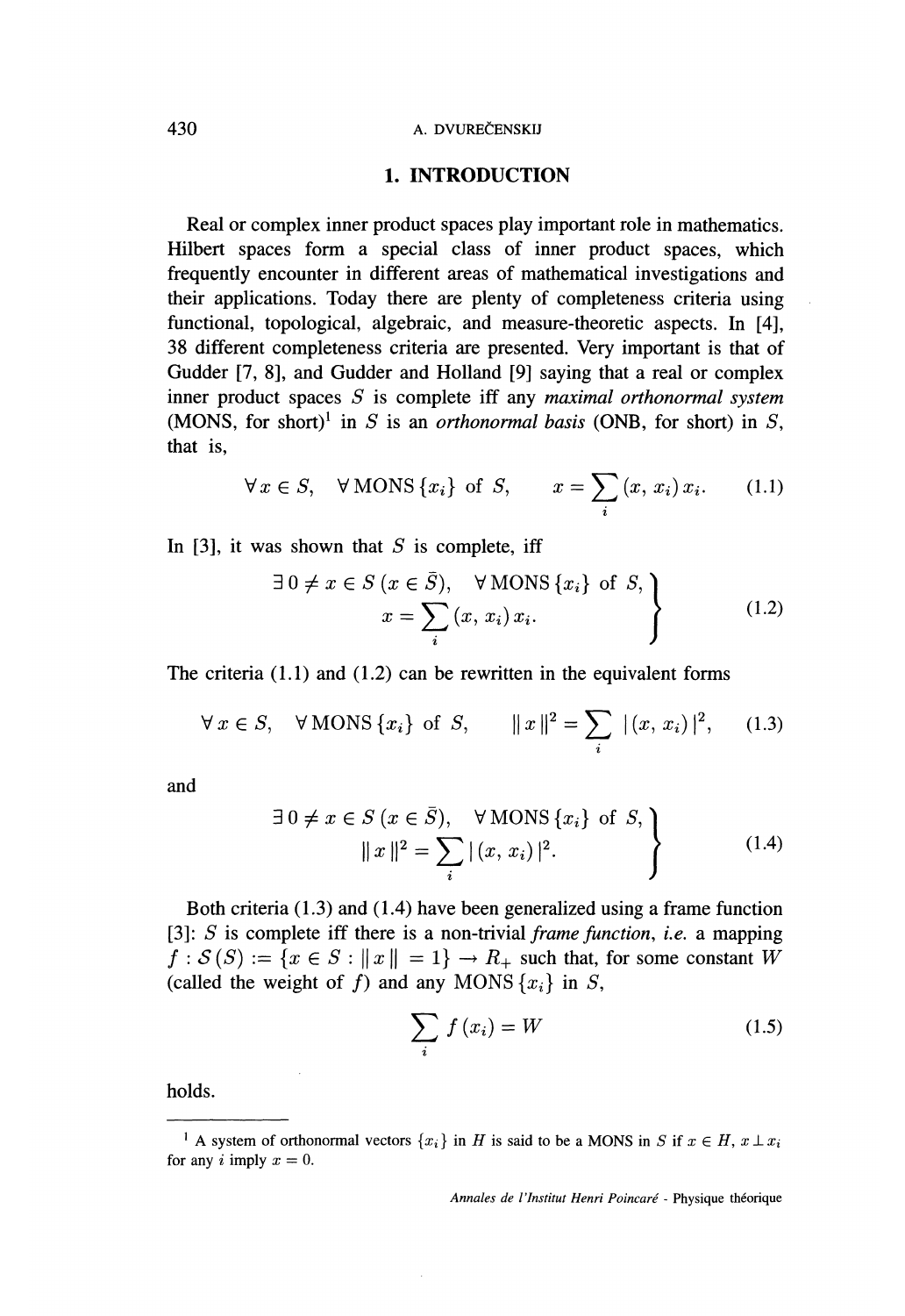#### 430 A. DVUREČENSKIJ

### 1. INTRODUCTION

Real or complex inner product spaces play important role in mathematics. Hilbert spaces form a special class of inner product spaces, which frequently encounter in different areas of mathematical investigations and their applications. Today there are plenty of completeness criteria using functional, topological, algebraic, and measure-theoretic aspects. In [4], 38 different completeness criteria are presented. Very important is that of Gudder [7, 8], and Gudder and Holland [9] saying that a real or complex inner product spaces  $S$  is complete iff any *maximal orthonormal system* (MONS, for short)<sup>1</sup> in S is an *orthonormal basis* (ONB, for short) in S, that is,

$$
\forall x \in S, \quad \forall \text{MONS} \{x_i\} \text{ of } S, \qquad x = \sum_i (x, x_i) x_i. \tag{1.1}
$$

In [3], it was shown that  $S$  is complete, iff

$$
\exists 0 \neq x \in S \ (x \in \overline{S}), \quad \forall \text{MONS} \{x_i\} \text{ of } S, \nx = \sum_{i} (x, x_i) x_i.
$$
\n(1.2)

The criteria  $(1.1)$  and  $(1.2)$  can be rewritten in the equivalent forms

$$
\forall x \in S, \forall
$$
 MONS  $\{x_i\}$  of S,  $||x||^2 = \sum_i |(x, x_i)|^2$ , (1.3)

and

$$
\exists 0 \neq x \in S \ (x \in \bar{S}), \quad \forall \text{MONS} \{x_i\} \text{ of } S, \\
||x||^2 = \sum_{i} |(x, x_i)|^2.
$$
\n(1.4)

Both criteria (1.3) and (1.4) have been generalized using a frame function [3]:  $S$  is complete iff there is a non-trivial *frame function*, *i.e.* a mapping  $f : \mathcal{S}(S) := \{x \in S : ||x|| = 1\} \rightarrow R_+$  such that, for some constant W (called the weight of f) and any MONS  $\{x_i\}$  in S,

$$
\sum_{i} f(x_i) = W \tag{1.5}
$$

holds.

Annales de l'Institut Henri Poincaré - Physique theorique

<sup>&</sup>lt;sup>1</sup> A system of orthonormal vectors  $\{x_i\}$  in H is said to be a MONS in S if  $x \in H$ ,  $x \perp x_i$ for any i imply  $x = 0$ .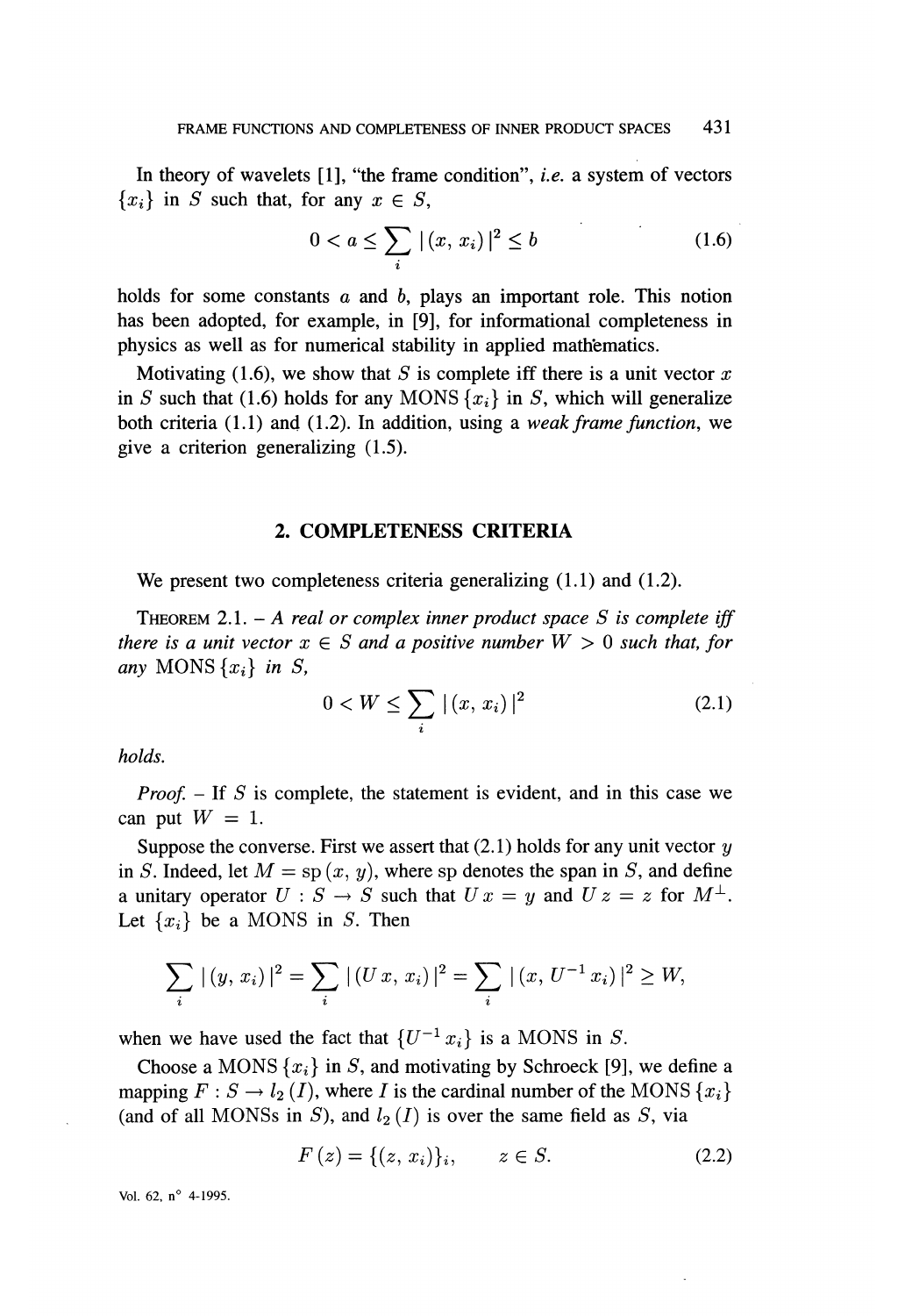In theory of wavelets  $[1]$ , "the frame condition", *i.e.* a system of vectors  ${x_i}$  in S such that, for any  $x \in S$ ,

$$
0 < a \le \sum_{i} |(x, x_i)|^2 \le b \tag{1.6}
$$

holds for some constants  $a$  and  $b$ , plays an important role. This notion has been adopted, for example, in [9], for informational completeness in physics as well as for numerical stability in applied mathematics.

Motivating (1.6), we show that  $S$  is complete iff there is a unit vector  $x$ in S such that (1.6) holds for any MONS  $\{x_i\}$  in S, which will generalize both criteria  $(1.1)$  and  $(1.2)$ . In addition, using a weak frame function, we give a criterion generalizing (1.5).

### 2. COMPLETENESS CRITERIA

We present two completeness criteria generalizing  $(1.1)$  and  $(1.2)$ .

THEOREM 2.1. - A real or complex inner product space S is complete iff there is a unit vector  $x \in S$  and a positive number  $W > 0$  such that, for any MONS  $\{x_i\}$  in S,

$$
0 < W \le \sum_{i} |(x, x_i)|^2 \tag{2.1}
$$

holds.

*Proof.*  $-$  If S is complete, the statement is evident, and in this case we can put  $W = 1$ .

Suppose the converse. First we assert that  $(2.1)$  holds for any unit vector  $y$ in S. Indeed, let  $M = sp(x, y)$ , where sp denotes the span in S, and define a unitary operator  $U : S \to S$  such that  $U x = y$  and  $U z = z$  for  $M^{\perp}$ . Let  $\{x_i\}$  be a MONS in S. Then

$$
\sum_{i} |(y, x_{i})|^{2} = \sum_{i} |(U x, x_{i})|^{2} = \sum_{i} |(x, U^{-1} x_{i})|^{2} \ge W,
$$

when we have used the fact that  $\{U^{-1} x_i\}$  is a MONS in S.

Choose a MONS  $\{x_i\}$  in S, and motivating by Schroeck [9], we define a mapping  $F : S \to l_2(I)$ , where I is the cardinal number of the MONS  $\{x_i\}$ (and of all MONSs in S), and  $l_2(I)$  is over the same field as S, via

$$
F(z) = \{(z, x_i)\}_i, \qquad z \in S. \tag{2.2}
$$

Vol. 62,  $n^{\circ}$  4-1995.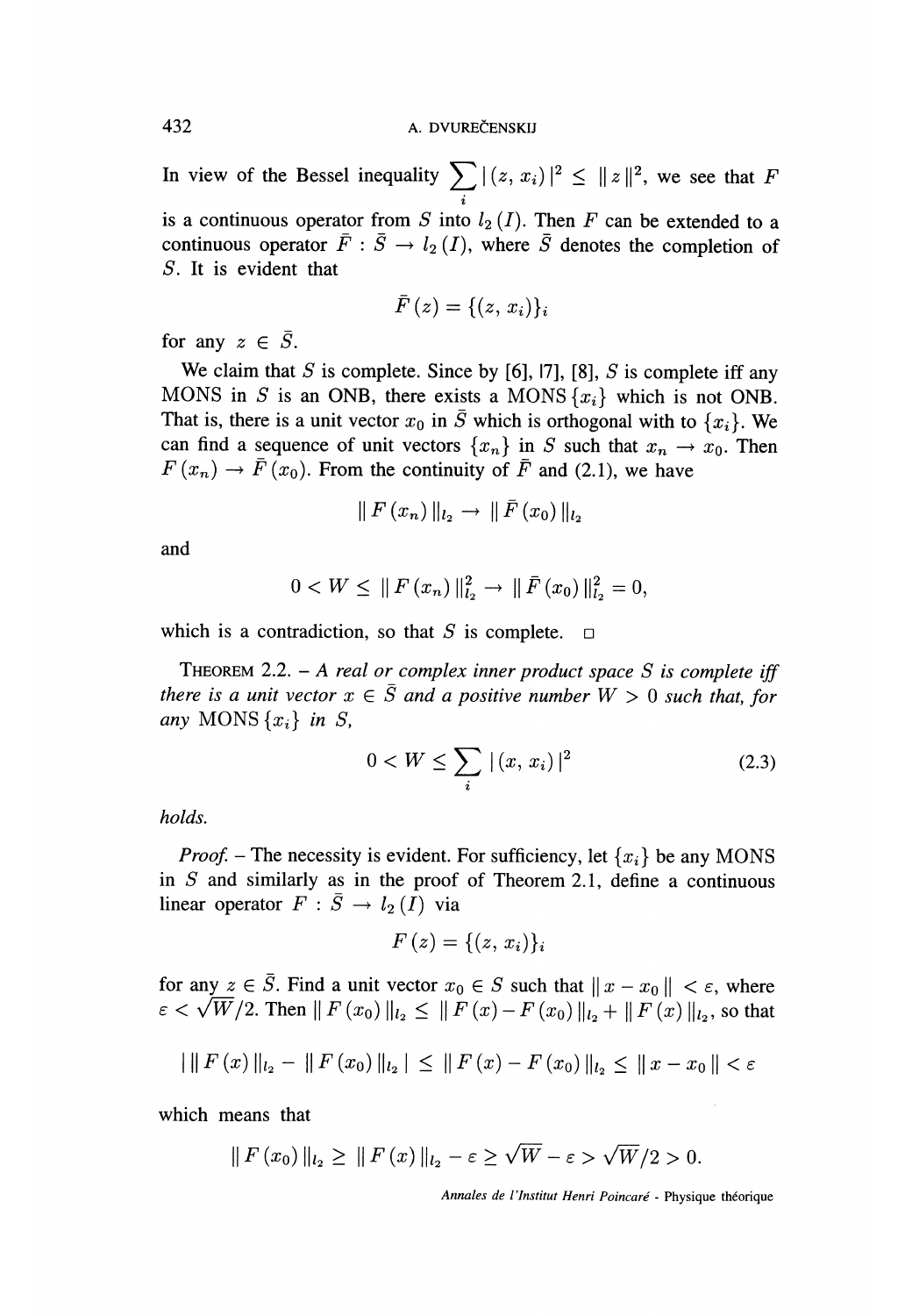In view of the Bessel inequality  $\sum |(z, x_i)|^2 \leq ||z||^2$ , we see that F i is a continuous operator from S into  $l_2(I)$ . Then F can be extended to a continuous operator  $\overline{F}$  :  $\overline{S}$   $\rightarrow$   $l_2(I)$ , where  $\overline{S}$  denotes the completion of S. It is evident that

$$
\bar{F}\left(z\right)=\{(z,\,x_i)\}_i
$$

for any  $z \in \overline{S}$ .

We claim that S is complete. Since by [6], [7], [8], S is complete iff any MONS in S is an ONB, there exists a MONS  $\{x_i\}$  which is not ONB. That is, there is a unit vector  $x_0$  in  $\overline{S}$  which is orthogonal with to  $\{x_i\}$ . We can find a sequence of unit vectors  $\{x_n\}$  in S such that  $x_n \to x_0$ . Then  $F(x_n) \rightarrow \overline{F}(x_0)$ . From the continuity of  $\overline{F}$  and (2.1), we have

$$
\|F(x_n)\|_{l_2}\to \|\bar{F}(x_0)\|_{l_2}
$$

and

$$
0 < W \leq \|F(x_n)\|_{l_2}^2 \to \|\bar{F}(x_0)\|_{l_2}^2 = 0
$$

which is a contradiction, so that S is complete.  $\Box$ 

THEOREM 2.2. - A real or complex inner product space  $S$  is complete iff there is a unit vector  $x \in \overline{S}$  and a positive number  $W > 0$  such that, for any MONS  $\{x_i\}$  in S,

$$
0 < W \le \sum_{i} |(x, x_i)|^2 \tag{2.3}
$$

holds.

*Proof.* – The necessity is evident. For sufficiency, let  $\{x_i\}$  be any MONS in  $S$  and similarly as in the proof of Theorem 2.1, define a continuous linear operator  $F : \overline{S} \to l_2 (I)$  via

$$
F(z) = \{(z, x_i)\}_i
$$

for any  $z \in \overline{S}$ . Find a unit vector  $x_0 \in S$  such that  $||x - x_0|| < \varepsilon$ , where  $\varepsilon < \sqrt{W}/2$ . Then  $||F(x_0)||_{l_2} \le ||F(x) - F(x_0)||_{l_2} + ||F(x)||_{l_2}$ , so that

$$
\left|\|F\left(x\right)\|_{l_2}-\|F\left(x_0\right)\|_{l_2}\right|\leq \|F\left(x\right)-F\left(x_0\right)\|_{l_2}\leq \|x-x_0\|<\varepsilon
$$

which means that

$$
\| F(x_0) \|_{l_2} \ge \| F(x) \|_{l_2} - \varepsilon \ge \sqrt{W} - \varepsilon > \sqrt{W}/2 > 0.
$$

Annales de l'Institut Henri Poincaré - Physique theorique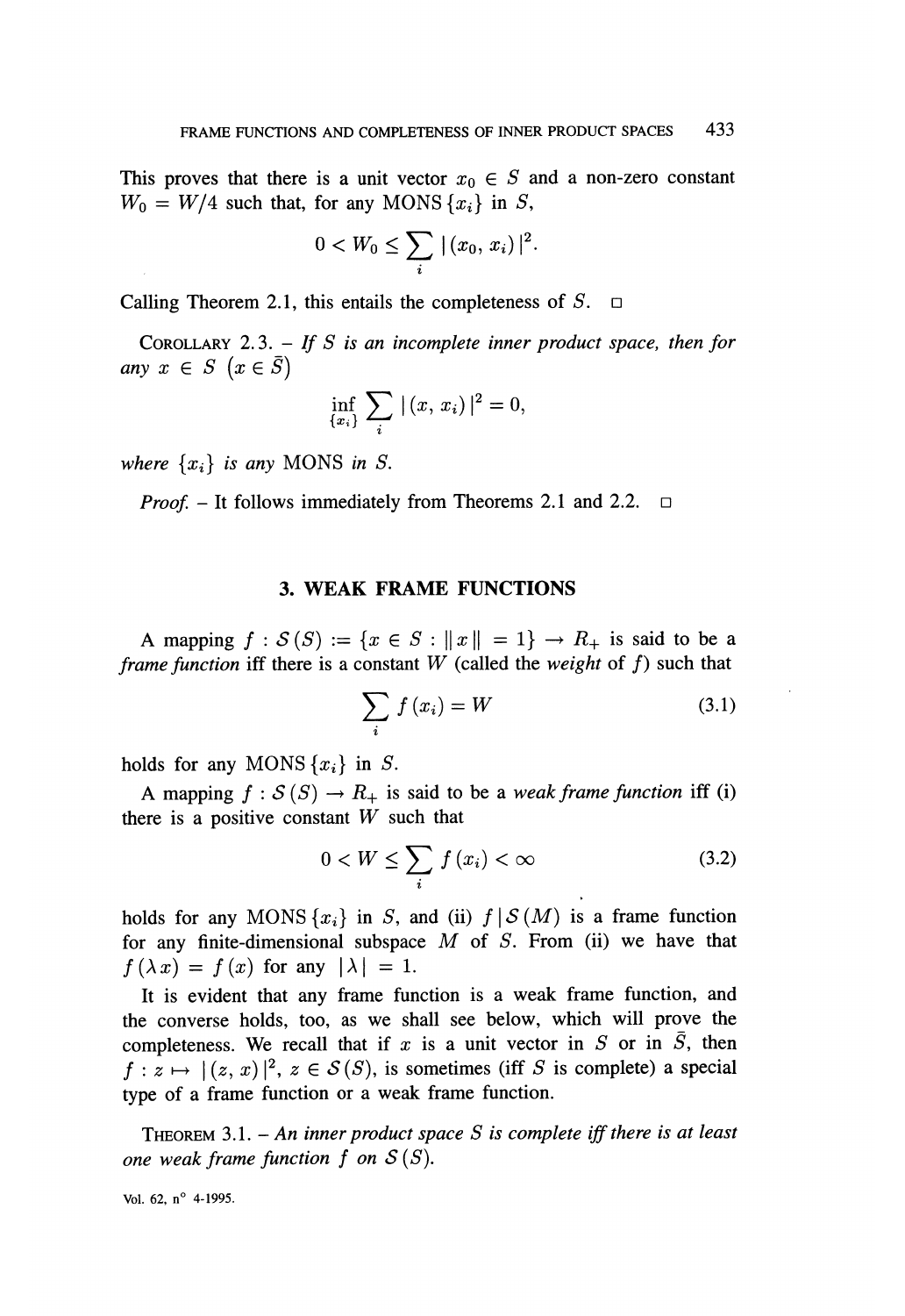This proves that there is a unit vector  $x_0 \in S$  and a non-zero constant  $W_0 = W/4$  such that, for any MONS  $\{x_i\}$  in S,

$$
0 < W_0 \leq \sum_i |(x_0, x_i)|^2
$$

Calling Theorem 2.1, this entails the completeness of  $S$ .  $\Box$ 

COROLLARY 2.3. - If S is an incomplete inner product space, then for any  $x \in S \ (x \in \overline{S})$ 

$$
\inf_{\{x_i\}} \sum_i |(x, x_i)|^2 = 0
$$

where  $\{x_i\}$  is any MONS in S.

*Proof.* – It follows immediately from Theorems 2.1 and 2.2.  $\Box$ 

### 3. WEAK FRAME FUNCTIONS

A mapping  $f : \mathcal{S}(S) := \{x \in S : ||x|| = 1\} \rightarrow R_{+}$  is said to be a *frame function* iff there is a constant W (called the weight of f) such that

$$
\sum_{i} f(x_i) = W \tag{3.1}
$$

holds for any MONS  $\{x_i\}$  in S.

A mapping  $f : S(S) \to R_+$  is said to be a *weak frame function* iff (i) there is a positive constant  $W$  such that

$$
0 < W \le \sum_{i} f(x_i) < \infty \tag{3.2}
$$

holds for any MONS  $\{x_i\}$  in S, and (ii)  $f \mid S(M)$  is a frame function for any finite-dimensional subspace  $M$  of  $S$ . From (ii) we have that  $f(\lambda x) = f(x)$  for any  $|\lambda| = 1$ .

It is evident that any frame function is a weak frame function, and the converse holds, too, as we shall see below, which will prove the completeness. We recall that if x is a unit vector in  $S$  or in  $S$ , then  $f: z \mapsto |(z, x)|^2, z \in S(S)$ , is sometimes (iff S is complete) a special type of a frame function or a weak frame function.

THEOREM 3.1. - An inner product space  $S$  is complete iff there is at least one weak frame function  $f$  on  $S(S)$ .

Vol. 62, n° 4-1995.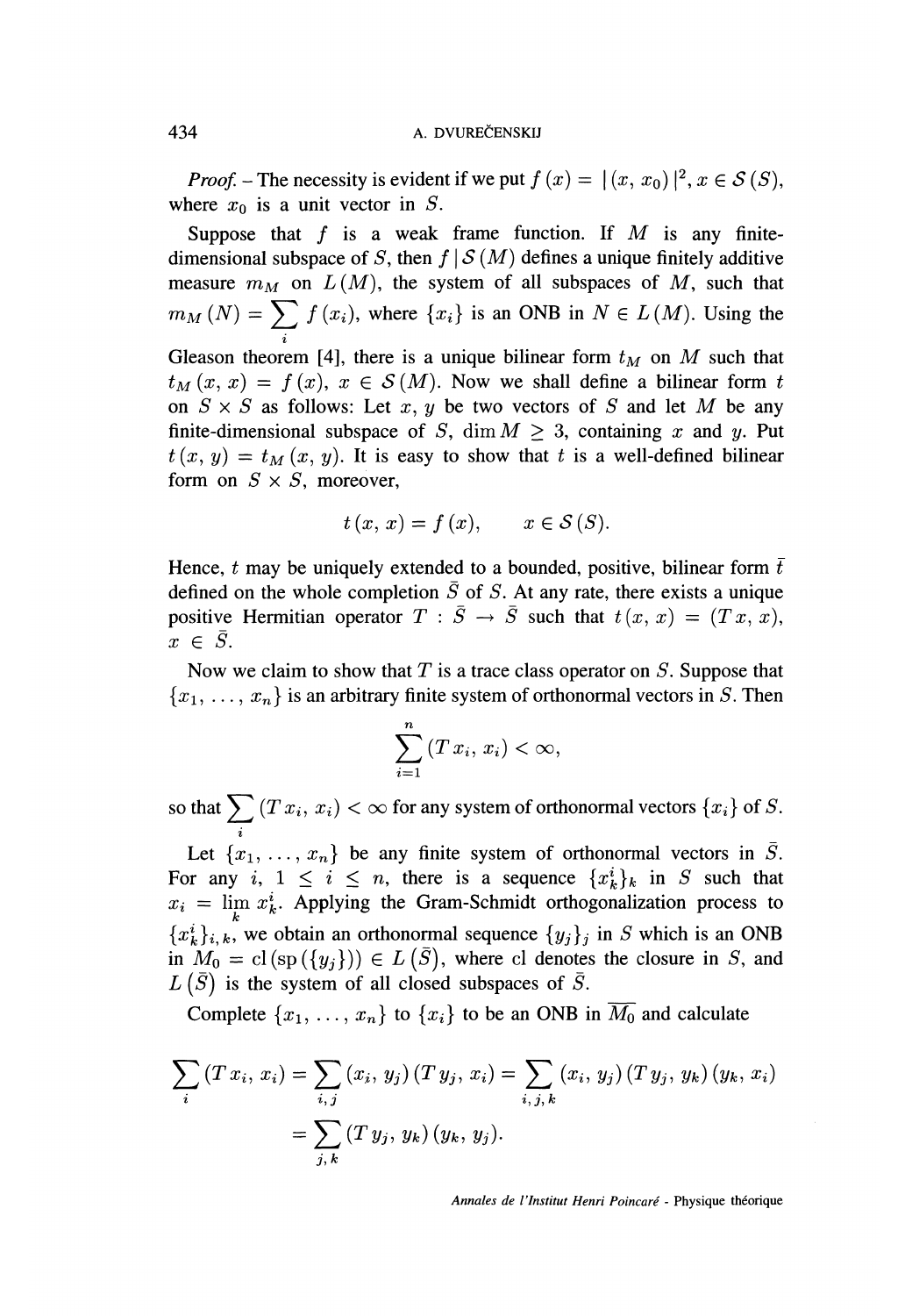*Proof.* – The necessity is evident if we put  $f(x) = |(x, x_0)|^2, x \in S(S)$ , where  $x_0$  is a unit vector in S.

Suppose that  $f$  is a weak frame function. If  $M$  is any finitedimensional subspace of S, then  $f | S(M)$  defines a unique finitely additive measure  $m_M$  on  $L(M)$ , the system of all subspaces of M, such that  $m_M(N) = \sum_i f(x_i)$ , where  $\{x_i\}$  is an ONB in  $N \in L(M)$ . Using the Gleason theorem [4], there is a unique bilinear form  $t_M$  on M such that  $t_M(x, x) = f(x), x \in S(M)$ . Now we shall define a bilinear form t on  $S \times S$  as follows: Let x, y be two vectors of S and let M be any finite-dimensional subspace of S, dim  $M \geq 3$ , containing x and y. Put  $t(x, y) = t<sub>M</sub>(x, y)$ . It is easy to show that t is a well-defined bilinear form on  $S \times S$ , moreover,

$$
t(x, x) = f(x), \qquad x \in \mathcal{S}(S).
$$

Hence, t may be uniquely extended to a bounded, positive, bilinear form  $\bar{t}$ defined on the whole completion  $\overline{S}$  of S. At any rate, there exists a unique positive Hermitian operator  $T : \overline{S} \to \overline{S}$  such that  $t (x, x) = (Tx, x),$ <br> $x \in \overline{S}$ .

Now we claim to show that  $T$  is a trace class operator on  $S$ . Suppose that  ${x_1, \ldots, x_n}$  is an arbitrary finite system of orthonormal vectors in S. Then

$$
\sum_{i=1}^{n} (T x_i, x_i) < \infty,
$$

so that  $\sum_i{(Tx_i, x_i)} < \infty$  for any system of orthonormal vectors  $\{x_i\}$  of  $S.$ 

Let  $\{x_1, \ldots, x_n\}$  be any finite system of orthonormal vectors in  $\overline{S}$ . For any i,  $1 \le i \le n$ , there is a sequence  ${x_k^i}_{k}$  in S such that  $x_i = \lim_{k} x_k^i$ . Applying the Gram-Schmidt orthogonalization process to  ${x_k}^i_{i,k}$ , we obtain an orthonormal sequence  ${y_j}_j$  in S which is an ONB in  $M_0 = cl(sp(\lbrace y_i \rbrace)) \in L(\overline{S})$ , where cl denotes the closure in S, and  $L(\bar{S})$  is the system of all closed subspaces of  $\bar{S}$ .

Complete  $\{x_1, \ldots, x_n\}$  to  $\{x_i\}$  to be an ONB in  $\overline{M_0}$  and calculate

$$
\sum_{i} (T x_i, x_i) = \sum_{i,j} (x_i, y_j) (T y_j, x_i) = \sum_{i,j,k} (x_i, y_j) (T y_j, y_k) (y_k, x_i)
$$

$$
= \sum_{j,k} (T y_j, y_k) (y_k, y_j).
$$

Annales de l'Institut Henri Poincaré - Physique théorique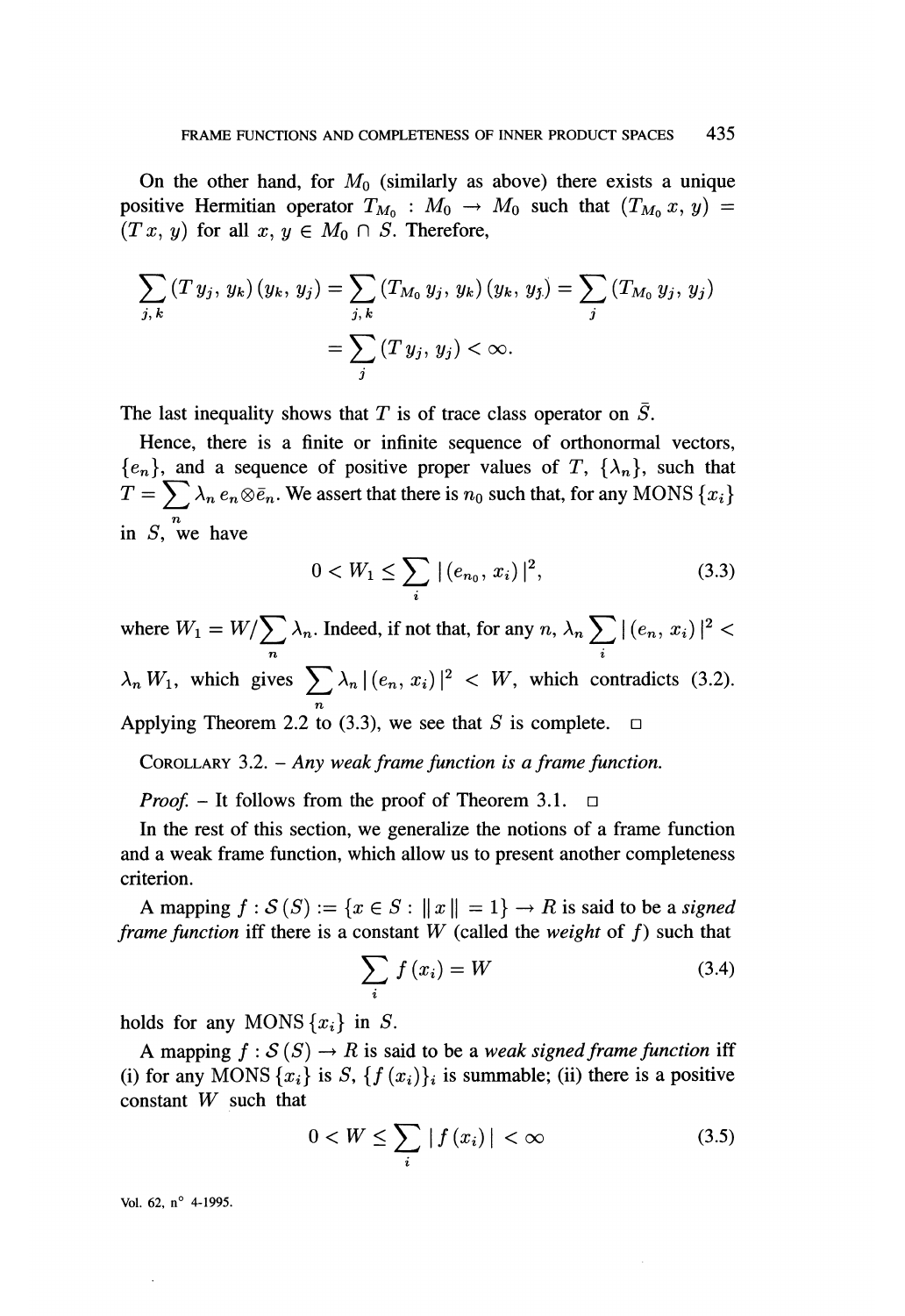On the other hand, for  $M_0$  (similarly as above) there exists a unique positive Hermitian operator  $T_{M_0} : M_0 \to M_0$  such that  $(T_{M_0} x, y) =$  $(T x, y)$  for all  $x, y \in M_0 \cap S$ . Therefore,

$$
\sum_{j,k} (T y_j, y_k) (y_k, y_j) = \sum_{j,k} (T_{M_0} y_j, y_k) (y_k, y_j) = \sum_j (T_{M_0} y_j, y_j)
$$
  
= 
$$
\sum_j (T y_j, y_j) < \infty.
$$

The last inequality shows that T is of trace class operator on  $\overline{S}$ .

Hence, there is a finite or infinite sequence of orthonormal vectors,  ${e_n}$ , and a sequence of positive proper values of T,  ${\lambda_n}$ , such that  $T = \sum_{n} \lambda_n e_n \otimes \bar{e}_n$ . We assert that there is  $n_0$  such that, for any MONS  $\{x_i\}$ in  $S$ , we have

$$
0 < W_1 \le \sum_i |(e_{n_0}, x_i)|^2,\tag{3.3}
$$

where  $W_1 = W / \sum_{n} \lambda_n$ . Indeed, if not that, for any  $n, \lambda_n \sum_{i} |(e_n, x_i)|^2 <$ which gives  $\sum_{n} \lambda_n |(e_n, x_i)|^2 \leq W$ , which contradicts (3.2). n Applying Theorem 2.2 to  $(3.3)$ , we see that S is complete.

COROLLARY  $3.2. - Any weak frame function is a frame function.$ 

*Proof.* – It follows from the proof of Theorem 3.1.  $\Box$ 

In the rest of this section, we generalize the notions of a frame function and a weak frame function, which allow us to present another completeness criterion.

A mapping  $f : \mathcal{S}(S) := \{x \in S : ||x|| = 1\} \rightarrow R$  is said to be a signed frame function iff there is a constant W (called the weight of f) such that

$$
\sum_{i} f(x_i) = W \tag{3.4}
$$

holds for any MONS  $\{x_i\}$  in S.

A mapping  $f : S(S) \to R$  is said to be a *weak signed frame function* iff (i) for any MONS  $\{x_i\}$  is S,  $\{f(x_i)\}\$ is summable; (ii) there is a positive constant W such that

$$
0 < W \le \sum_{i} |f(x_i)| < \infty \tag{3.5}
$$

Vol. 62,  $n^{\circ}$  4-1995.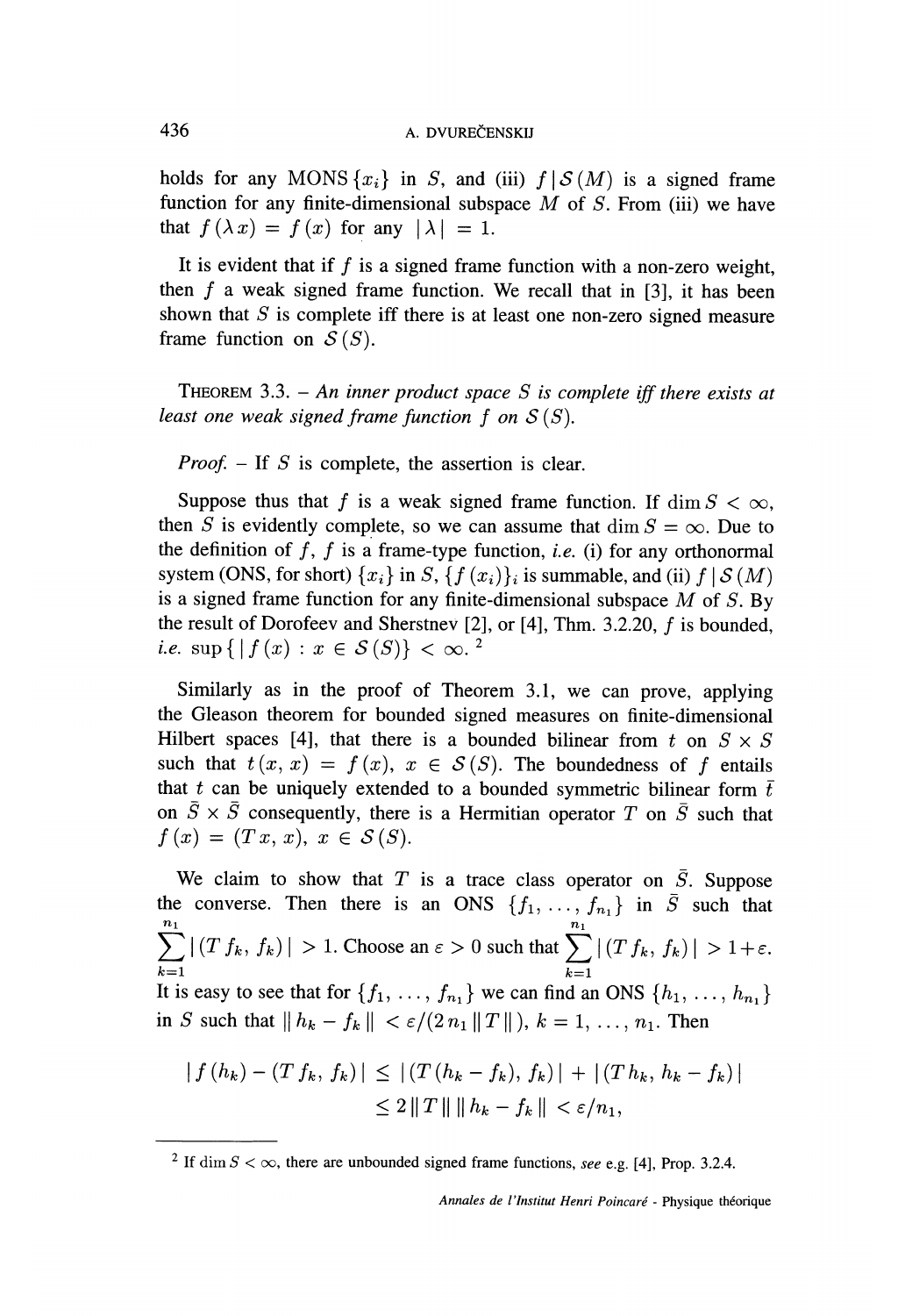holds for any MONS  $\{x_i\}$  in S, and (iii)  $f | S(M)$  is a signed frame function for any finite-dimensional subspace  $M$  of  $S$ . From (iii) we have that  $f(\lambda x) = f(x)$  for any  $|\lambda| = 1$ .

It is evident that if  $f$  is a signed frame function with a non-zero weight, then  $f$  a weak signed frame function. We recall that in [3], it has been shown that  $S$  is complete iff there is at least one non-zero signed measure frame function on  $S(S)$ .

THEOREM 3.3. - An inner product space S is complete iff there exists at least one weak signed frame function  $f$  on  $S(S)$ .

*Proof.*  $-$  If S is complete, the assertion is clear.

Suppose thus that f is a weak signed frame function. If  $\dim S < \infty$ . then S is evidently complete, so we can assume that dim  $S = \infty$ . Due to the definition of f, f is a frame-type function, *i.e.* (i) for any orthonormal system (ONS, for short)  $\{x_i\}$  in  $S, \{f(x_i)\}\$ is summable, and (ii)  $f | S(M)$ is a signed frame function for any finite-dimensional subspace  $M$  of  $S$ . By the result of Dorofeev and Sherstnev [2], or [4], Thm. 3.2.20, f is bounded, *i.e.* sup  $\{ | f(x) : x \in S(S) \} < \infty$ .

Similarly as in the proof of Theorem 3.1, we can prove, applying the Gleason theorem for bounded signed measures on finite-dimensional Hilbert spaces [4], that there is a bounded bilinear from t on  $S \times S$ such that  $t(x, x) = f(x), x \in S(S)$ . The boundedness of f entails that t can be uniquely extended to a bounded symmetric bilinear form  $\bar{t}$ on  $\overline{S} \times \overline{S}$  consequently, there is a Hermitian operator T on  $\overline{S}$  such that  $f(x) = (Tx, x), x \in \mathcal{S}(S).$ 

We claim to show that  $T$  is a trace class operator on  $\overline{S}$ . Suppose the converse. Then there is an ONS  $\{f_1, \ldots, f_{n_1}\}\$ in  $\overline{S}$  such that  $\sum_{k=1} |(T f_k, f_k)| > 1$ . Choose an  $\varepsilon > 0$  such that  $\sum_{k=1} |(T f_k, f_k)| > 1 + \varepsilon$ . It is easy to see that for  $\{f_1, \ldots, f_{n_1}\}$  we can find an ONS  $\{h_1, \ldots, h_{n_1}\}$ in S such that  $|| h_k - f_k || < \varepsilon / (2 n_1 || T ||)$ ,  $k = 1, ..., n_1$ . Then

$$
|f(h_k) - (T f_k, f_k)| \le |(T (h_k - f_k), f_k)| + |(T h_k, h_k - f_k)|
$$
  

$$
\le 2 ||T|| ||h_k - f_k|| < \varepsilon/n_1,
$$

Annales de l'Institut Henri Poincaré - Physique théorique

<sup>&</sup>lt;sup>2</sup> If dim  $S < \infty$ , there are unbounded signed frame functions, see e.g. [4], Prop. 3.2.4.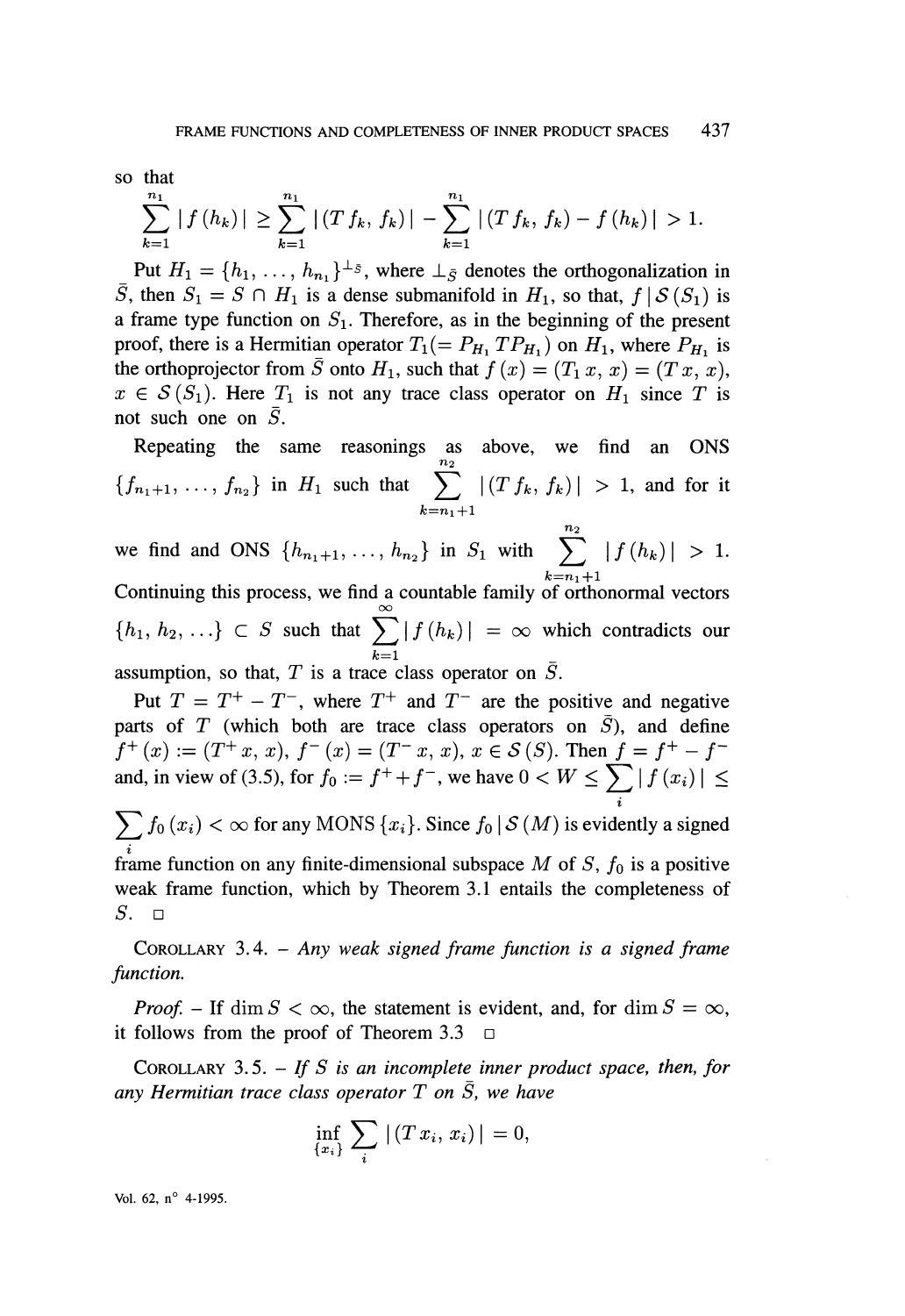so that

$$
\sum_{k=1}^{n_1} |f(h_k)| \geq \sum_{k=1}^{n_1} |(T f_k, f_k)| - \sum_{k=1}^{n_1} |(T f_k, f_k) - f(h_k)| > 1.
$$

Put  $H_1 = \{h_1, \ldots, h_{n_1}\}^{\perp_{\bar{S}}}$ , where  $\perp_{\bar{S}}$  denotes the orthogonalization in  $\overline{S}$ , then  $S_1 = S \cap H_1$  is a dense submanifold in  $H_1$ , so that,  $f | S(S_1)$  is a frame type function on  $S_1$ . Therefore, as in the beginning of the present proof, there is a Hermitian operator  $T_1 (= P_{H_1} T P_{H_1})$  on  $H_1$ , where  $P_{H_1}$  is the orthoprojector from  $\overline{S}$  onto  $H_1$ , such that  $f(x) = (T_1 x, x) = (T x, x)$ ,  $x \in S(S_1)$ . Here  $T_1$  is not any trace class operator on  $H_1$  since T is not such one on  $\overline{S}$ .

Repeating the same reasonings as above, we find an ONS  ${f_{n_1+1}, \ldots, f_{n_2}}$  in  $H_1$  such that  $\sum_{k=n_1+1}^{n_2} |(Tf_k, f_k)| > 1$ , and for it

 $n_2$ we find and ONS  $\{h_{n_1+1}, \ldots, h_{n_2}\}$  in  $S_1$  with  $\sum |f(h_k)| > 1$ . Continuing this process, we find a countable family of orthonormal vectors  $\{h_1, h_2, ...\} \subset S$  such that  $\sum |f(h_k)| = \infty$  which contradicts our  $k=1$ 

assumption, so that, T is a trace class operator on  $\overline{S}$ .

Put  $T = T^+ - T^-$ , where  $T^+$  and  $T^-$  are the positive and negative parts of T (which both are trace class operators on  $\overline{S}$ ), and define  $f^+(x) := (T^+x, x), f^-(x) = (T^-x, x), x \in S(S)$ . Then  $f = f^+ - f^$ and, in view of (3.5), for  $f_0 := f^+ + f^-$ , we have  $0 < W \le \sum |\int f(x_i)| \le$ 

 $\sum f_0(x_i) < \infty$  for any MONS  $\{x_i\}$ . Since  $f_0 | S(M)$  is evidently a signed frame function on any finite-dimensional subspace M of S,  $f_0$  is a positive weak frame function, which by Theorem 3.1 entails the completeness of  $S.$  0

COROLLARY 3.4. - Any weak signed frame function is a signed frame function.

*Proof.* – If dim  $S < \infty$ , the statement is evident, and, for dim  $S = \infty$ , it follows from the proof of Theorem 3.3  $\Box$ 

COROLLARY 3.5. - If S is an incomplete inner product space, then, for any Hermitian trace class operator  $T$  on  $\overline{S}$ , we have

$$
\inf_{\{x_i\}}\sum_i|(Tx_i,x_i)|=0,
$$

Vol. 62,  $n^{\circ}$  4-1995.